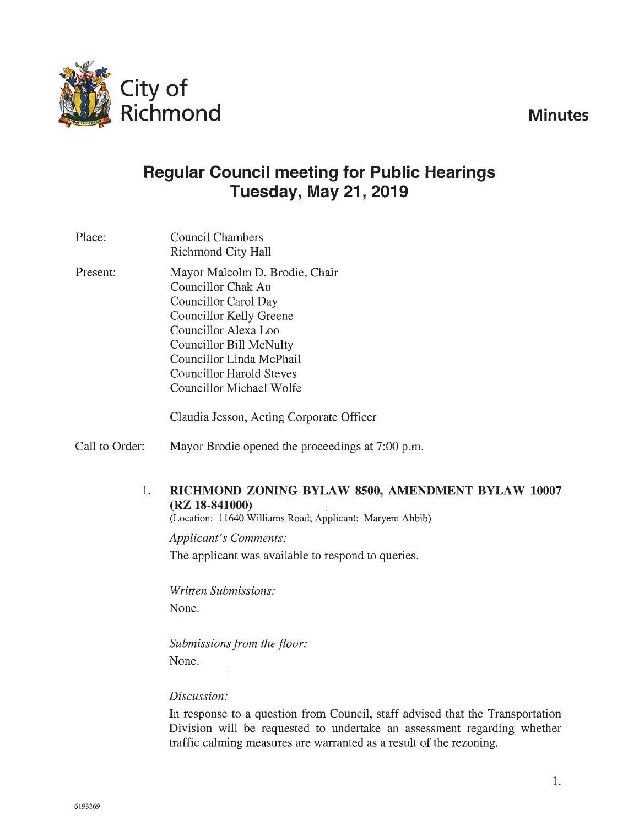**Minutes** 



# **Regular Council meeting for Public Hearings Tuesday, May 21, 2019**

Place: Present: Council Chambers Richmond City Hall Mayor Malcolm D. Brodie, Chair Councillor Chak Au Councillor Carol Day Councillor Kelly Greene Councillor Alexa Loo Councillor Bill McNulty Councillor Linda McPhail Councillor Harold Steves Councillor Michael Wolfe

Claudia Jesson, Acting Corporate Officer

Call to Order: Mayor Brodie opened the proceedings at 7:00 p.m.

### 1. **RICHMOND ZONING BYLAW 8500, AMENDMENT BYLAW 10007 (RZ 18-841000)**

(Location: 11640 Williams Road; Applicant: Maryem Ahbib)

*Applicant's Comments:*  The applicant was available to respond to queries.

*Written Submissions:*  None.

*Submissions from the floor:*  None.

### *Discussion:*

In response to a question from Council, staff advised that the Transportation Division will be requested to undertake an assessment regarding whether traffic calming measures are warranted as a result of the rezoning.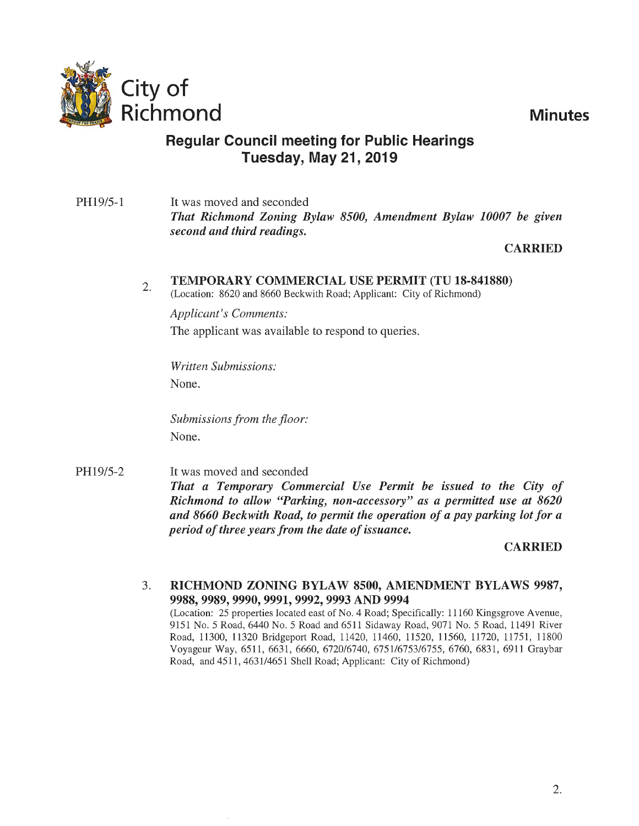

Richmond **Minutes** 

## **Regular Council meeting for Public Hearings Tuesday, May 21, 2019**

PH19/5-1 It was moved and seconded *That Richmond Zoning Bylaw 8500, Amendment Bylaw 10007 be given second and third readings.* 

## **CARRIED**

#### 2. TEMPORARY COMMERCIAL USE PERMIT (TU 18-841880)

(Location: 8620 and 8660 Beckwith Road; Applicant: City of Richmond)

*Applicant's Comments:*  The applicant was available to respond to queries.

*Written Submissions:*  None.

*Submissions from the floor:* None.

PH19/5-2 It was moved and seconded *That a Temporary Commercial Use Permit be issued to the City of Richmond to allow "Parking, non-accessory" as a permitted use at 8620 and 8660 Beckwith Road, to permit the operation of a pay parking lot for a period of three years from the date of issuance.* 

### CARRIED

3. RICHMOND ZONING BYLAW 8500, AMENDMENT BYLAWS 9987, 9988, 9989, 9990, 9991, 9992, 9993 AND 9994 (Location: 25 properties located east of No. 4 Road; Specifically: 11160 Kingsgrove Avenue, 9151 No.5 Road, 6440 No.5 Road and 6511 Sidaway Road, 9071 No.5 Road, 11491 River Road, 11300, 11320 Bridgeport Road, 11420, 11460, 11520, 11560, 11720, 11751, 11800 Voyageur Way, 6511, 6631, 6660, 6720/6740, 675116753/6755, 6760, 6831, 6911 Graybar Road, and 4511, 4631/4651 Shell Road; Applicant: City of Richmond)

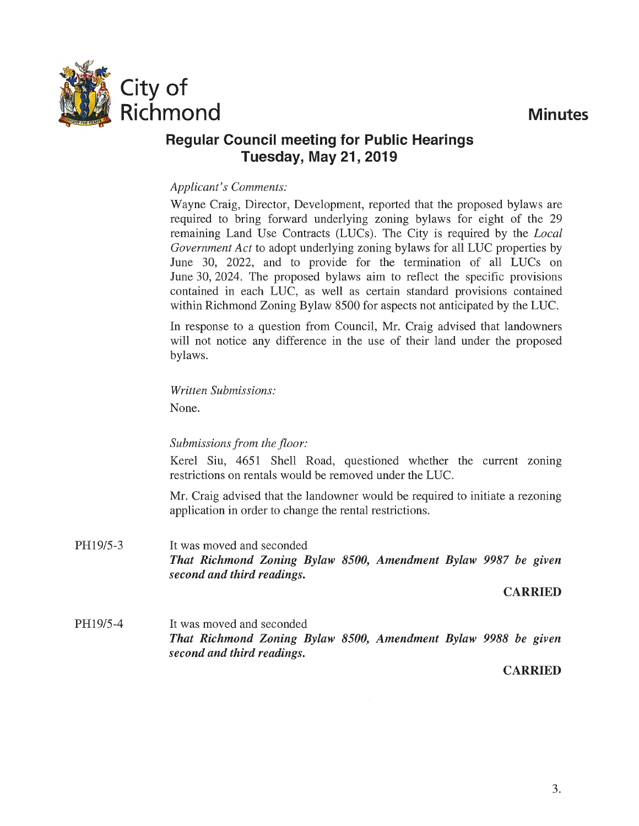

#### *Applicant's Conunents:*

Wayne Craig, Director, Development, reported that the proposed bylaws are required to bring forward underlying zoning bylaws for eight of the 29 remaining Land Use Contracts (LUCs). The City is required by the *Local Government Act* to adopt underlying zoning bylaws for all LUC properties by June 30, 2022, and to provide for the termination of all LUCs on June 30, 2024. The proposed bylaws aim to reflect the specific provisions contained in each LUC, as well as certain standard provisions contained within Richmond Zoning Bylaw 8500 for aspects not anticipated by the LUC.

In response to a question from Council, Mr. Craig advised that landowners will not notice any difference in the use of their land under the proposed bylaws.

*Written Submissions:* 

None.

### *Submissions from the floor:*

Kerel Siu, 4651 Shell Road, questioned whether the current zoning restrictions on rentals would be removed under the LUC.

Mr. Craig advised that the landowner would be required to initiate a rezoning application in order to change the rental restrictions.

PH19/5-3 It was moved and seconded *That Richmond Zoning Bylaw 8500, Amendment Bylaw 9987 be given second and third readings.* 

#### **CARRIED**

PH19/5-4 It was moved and seconded *That Richmond Zoning Bylaw 8500, Amendment Bylaw 9988 be given second and third readings.* 

#### CARRIED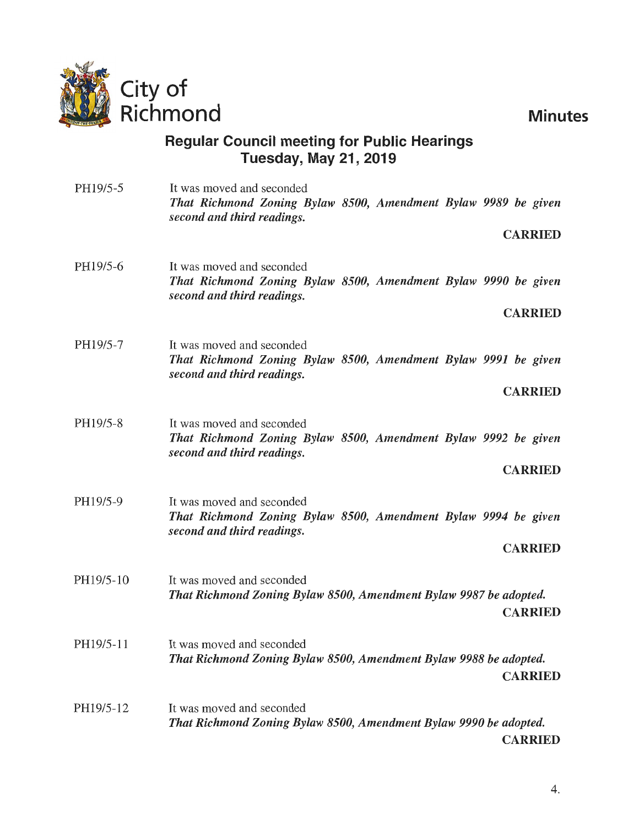

| PH19/5-5  | It was moved and seconded<br>That Richmond Zoning Bylaw 8500, Amendment Bylaw 9989 be given<br>second and third readings.<br><b>CARRIED</b> |
|-----------|---------------------------------------------------------------------------------------------------------------------------------------------|
| PH19/5-6  | It was moved and seconded<br>That Richmond Zoning Bylaw 8500, Amendment Bylaw 9990 be given<br>second and third readings.<br><b>CARRIED</b> |
| PH19/5-7  | It was moved and seconded<br>That Richmond Zoning Bylaw 8500, Amendment Bylaw 9991 be given<br>second and third readings.<br><b>CARRIED</b> |
| PH19/5-8  | It was moved and seconded<br>That Richmond Zoning Bylaw 8500, Amendment Bylaw 9992 be given<br>second and third readings.<br><b>CARRIED</b> |
| PH19/5-9  | It was moved and seconded<br>That Richmond Zoning Bylaw 8500, Amendment Bylaw 9994 be given<br>second and third readings.<br><b>CARRIED</b> |
| PH19/5-10 | It was moved and seconded<br>That Richmond Zoning Bylaw 8500, Amendment Bylaw 9987 be adopted.<br><b>CARRIED</b>                            |
| PH19/5-11 | It was moved and seconded<br>That Richmond Zoning Bylaw 8500, Amendment Bylaw 9988 be adopted.<br><b>CARRIED</b>                            |
| PH19/5-12 | It was moved and seconded<br>That Richmond Zoning Bylaw 8500, Amendment Bylaw 9990 be adopted.<br><b>CARRIED</b>                            |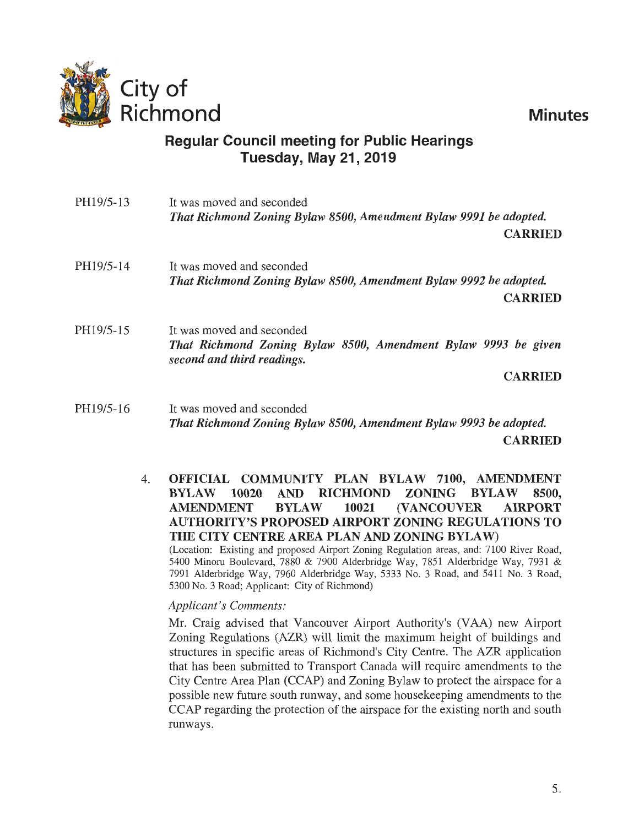| PH19/5-13 | It was moved and seconded<br>That Richmond Zoning Bylaw 8500, Amendment Bylaw 9991 be adopted.                            |
|-----------|---------------------------------------------------------------------------------------------------------------------------|
|           | <b>CARRIED</b>                                                                                                            |
| PH19/5-14 | It was moved and seconded                                                                                                 |
|           | That Richmond Zoning Bylaw 8500, Amendment Bylaw 9992 be adopted.                                                         |
|           | <b>CARRIED</b>                                                                                                            |
| PH19/5-15 | It was moved and seconded<br>That Richmond Zoning Bylaw 8500, Amendment Bylaw 9993 be given<br>second and third readings. |
|           | <b>CARRIED</b>                                                                                                            |
| PH19/5-16 | It was moved and seconded                                                                                                 |
|           | That Richmond Zoning Bylaw 8500, Amendment Bylaw 9993 be adopted.                                                         |
|           | <b>CARRIED</b>                                                                                                            |

4. OFFICIAL COMMUNITY PLAN BYLAW 7100, AMENDMENT BYLAW 10020 AND RICHMOND ZONING BYLAW 8500, AMENDMENT BYLAW 10021 (VANCOUVER AIRPORT AUTHORITY'S PROPOSED AIRPORT ZONING REGULATIONS TO THE CITY CENTRE AREA PLAN AND ZONING BYLAW)

(Location: Existing and proposed Airport Zoning Regulation areas, and: 7100 River Road, 5400 Minoru Boulevard, 7880 & 7900 Alderbridge Way, 7851 Alderbridge Way, 7931 & 7991 Alderbridge Way, 7960 Alderbridge Way, 5333 No. 3 Road, and 5411 No. 3 Road, 5300 No. 3 Road; Applicant: City of Richmond)

#### *Applicant's Comments:*

Mr. Craig advised that Vancouver Airport Authority's (V AA) new Airport Zoning Regulations (AZR) will limit the maximum height of buildings and structures in specific areas of Richmond's City Centre. The AZR application that has been submitted to Transport Canada will require amendments to the City Centre Area Plan (CCAP) and Zoning Bylaw to protect the airspace for a possible new future south runway, and some housekeeping amendments to the CCAP regarding the protection of the airspace for the existing north and south runways.

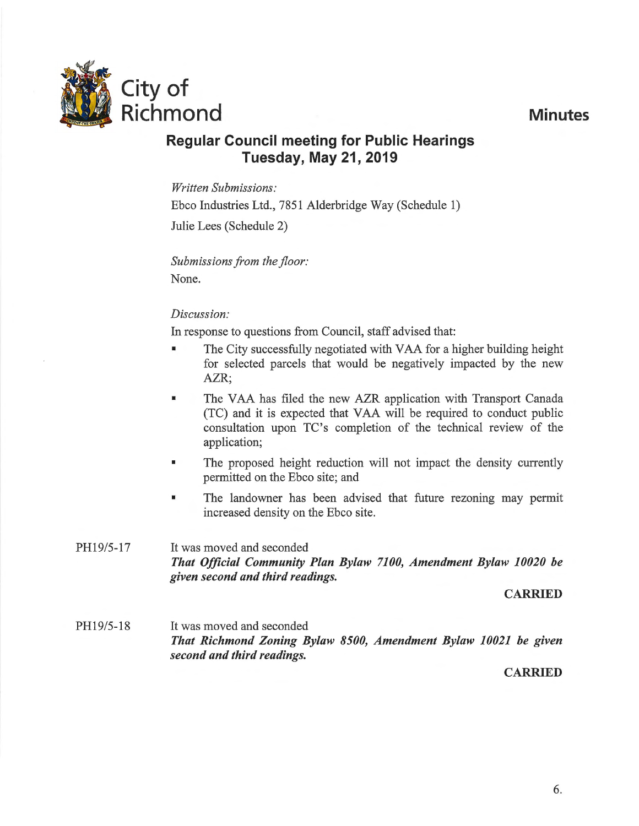

*Written Submissions:*  Ebco Industries Ltd., 7851 Alderbridge Way (Schedule 1) Julie Lees (Schedule 2)

Submissions from the floor: None.

### *Discussion:*

In response to questions from Council, staff advised that:

- The City successfully negotiated with VAA for a higher building height for selected parcels that would be negatively impacted by the new AZR;
- **The VAA has filed the new AZR application with Transport Canada** (TC) and it is expected that V AA will be required to conduct public consultation upon TC's completion of the technical review of the application;
- The proposed height reduction will not impact the density currently permitted on the Ebco site; and
- The landowner has been advised that future rezoning may permit increased density on the Ebco site.
- PH19/5-17 It was moved and seconded *That Official Community Plan Bylaw 7100, Amendment Bylaw 10020 be given second and third readings.*

CARRIED

PH19/5-18 It was moved and seconded *That Richmond Zoning Bylaw 8500, Amendment Bylaw 10021 be given second and third readings.* 

**CARRIED**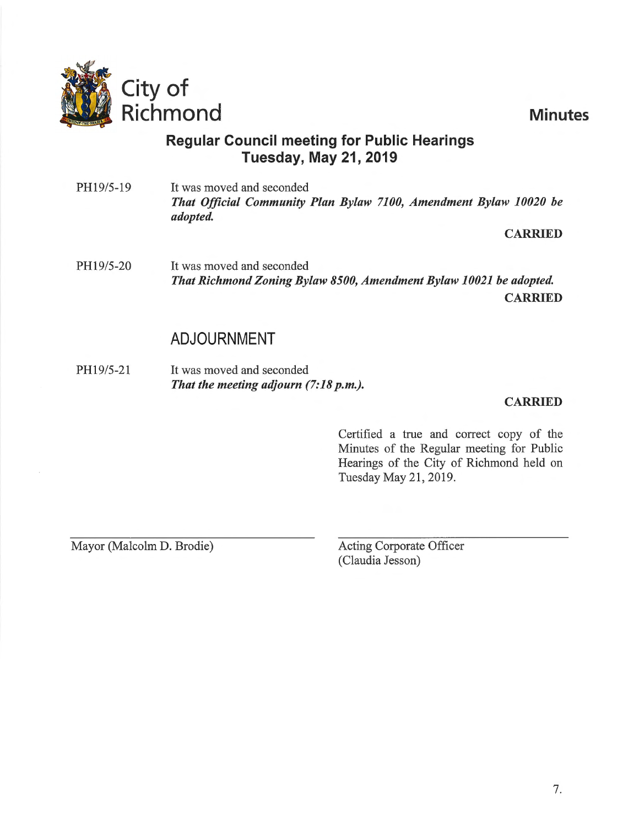

PH19/5-19 It was moved and seconded *That Official Community Plan Bylaw 7100, Amendment Bylaw 10020 be adopted.* 

#### CARRIED

PH19/5-20 It was moved and seconded *That Richmond Zoning Bylaw 8500, Amendment Bylaw 10021 be adopted.*  CARRIED

## ADJOURNMENT

PH19/5-21 It was moved and seconded *That the meeting adjourn (7:18 p.m.).* 

#### CARRIED

Certified a true and correct copy of the Minutes of the Regular meeting for Public Hearings of the City of Richmond held on Tuesday May 21, 2019.

Mayor (Malcolm D. Brodie) Acting Corporate Officer

(Claudia Jesson)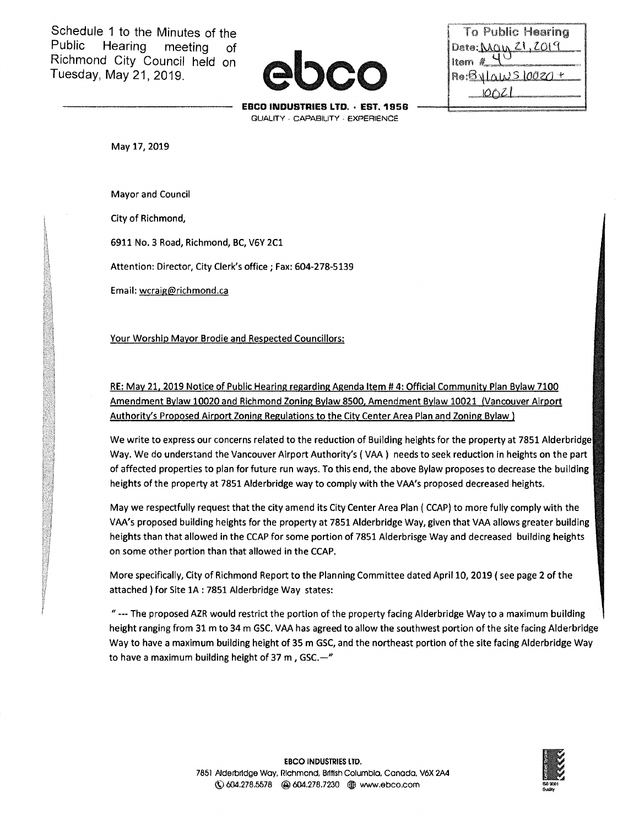Schedule 1 to the Minutes of the<br>Public Hearing meeting of Hearing meeting of Richmond City Council held on Tuesday, May 21,2019.

| To Public Hearing  |
|--------------------|
| Date: Man 21, 2019 |
| Item $\ell^-$      |
| $Re:ByLawS10020 +$ |
| 10021              |
|                    |

**EBCD INDUSTRIES LTD. · EST.185B**  QUALITY · CAPABILITY · EXPERIENCE

May 17,2019

Mayor and Council

City of Richmond,

6911 No. 3 Road, Richmond, BC, V6Y 2C1

Attention: Director, City Clerk's office; Fax: 604-278-5139

Email: wcraig@richmond.ca

Your Worship Mayor Brodie and Respected Councillors:

RE: May 21, 2019 Notice of Public Hearing regarding Agenda Item # 4: Official Community Plan Bylaw 7100 Amendment Bylaw 10020 and Richmond Zoning Bylaw 8500, Amendment Bylaw 10021 (Vancouver Airport Authority's Proposed Airport Zoning Regulations to the City Center Area Plan and Zoning Bylaw l

We write to express our concerns related to the reduction of Building heights for the property at 7851 Alderbridge Way. We do understand the Vancouver Airport Authority's ( VAA) needs to seek reduction in heights on the part of affected properties to plan for future run ways. To this end, the above Bylaw proposes to decrease the building heights of the property at 7851 Alderbridge way to comply with the VAA's proposed decreased heights.

May we respectfully request that the city amend its City Center Area Plan ( CCAP) to more fully comply with the VAA's proposed building heights for the property at 7851 Alderbridge Way, given that VAA allows greater building heights than that allowed in the CCAP for some portion of 7851 Alderbrisge Way and decreased building heights on some other portion than that allowed in the CCAP.

More specifically, City of Richmond Report to the Planning Committee dated April 10, 2019 (see page 2 of the attached ) for Site 1A : 7851 Alderbridge Way states:

"---The proposed AZR would restrict the portion of the property facing Alderbridge Way to a maximum building height ranging from 31 m to 34 m GSC. VAA has agreed to allow the southwest portion of the site facing Alderbridge Way to have a maximum building height of 35m GSC, and the northeast portion of the site facing Alderbridge Way to have a maximum building height of 37 m, GSC. $-$ "

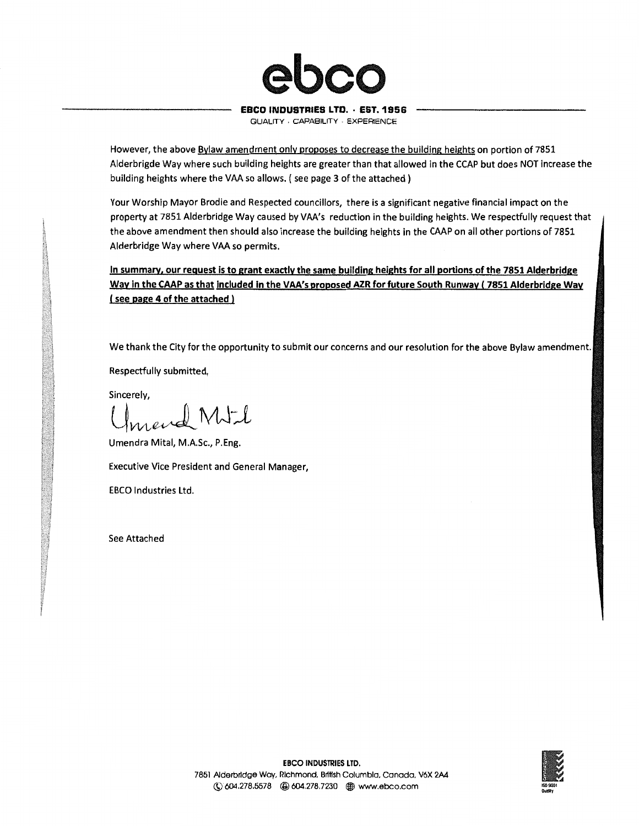

#### EBCO INDUSTRIES LTO. · EST.1956

QUALITY · CAPABILITY - EXPERIENCE

However, the above Bylaw amendment only proposes to decrease the building heights on portion of 7851 Alderbrigde Way where such building heights are greater than that allowed in the CCAP but does NOT increase the building heights where the VAA so allows. (see page 3 of the attached)

Your Worship Mayor Brodie and Respected councillors, there is a significant negative financial impact on the property at 7851 Alderbridge Way caused by VAA's reduction in the building heights. We respectfully request that the above amendment then should also increase the building heights in the CAAP on all other portions of 7851 Alderbridge Way where VAA so permits.

In summary, our request is to grant exactly the same building heights for all portions of the 7851 Alderbridge Way in the CAAP as that included in the VAA's proposed AZR for future South Runway (7851 Alderbridge Way ( see page 4 of the attached )

We thank the City for the opportunity to submit our concerns and our resolution for the above Bylaw amendment.

Respectfully submitted,

Sincerely,

end MJ-l

Umendra Mital, M.A.Sc., P.Eng.

Executive Vice President and General Manager,

EBCO Industries Ltd.

See Attached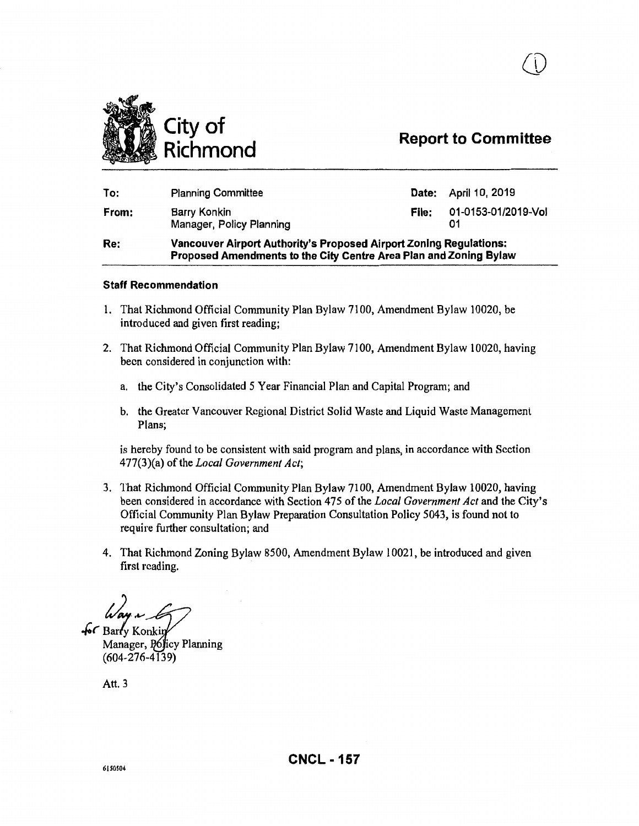

## **Report to Committee**

| <b>Vancouver Airport Authority's Proposed Airport Zoning Regulations:</b> |
|---------------------------------------------------------------------------|
| 01-0153-01/2019-Vol                                                       |
| <b>Date:</b> April 10, 2019                                               |
|                                                                           |

#### **Staff Recommendation**

- 1. That Richmond Official Community Plan Bylaw 7100, Amendment Bylaw 10020, be introduced and given first reading;
- 2. That Richmond Official Community Plan Bylaw 7100, Amendment Bylaw 10020, having been considered in conjunction with:
	- a. the City's Consolidated 5 Year Financial Plan and Capital Program; and
	- b. the Greater Vancouver Regional District Solid Waste and Liquid Waste Management Plans;

is hereby found to be consistent with said program and plans, in accordance with Section 477(3)(a) of the *Local Government Act;* 

- 3. 1hat Richmond Official Community Plan Bylaw 7100, Amendment Bylaw 10020, having been considered in accordance with Section 475 of the *Local Government Act* and the City's Official Community Plan Bylaw Preparation Consultation Policy 5043, is found not to require further consultation; and
- 4. That Richmond Zoning Bylaw 8500, Amendment Bylaw 10021, be introduced and given first reading.

 $-66$  Barty Konkin

Manager, Policy Planning (604-276-4139)

Att. 3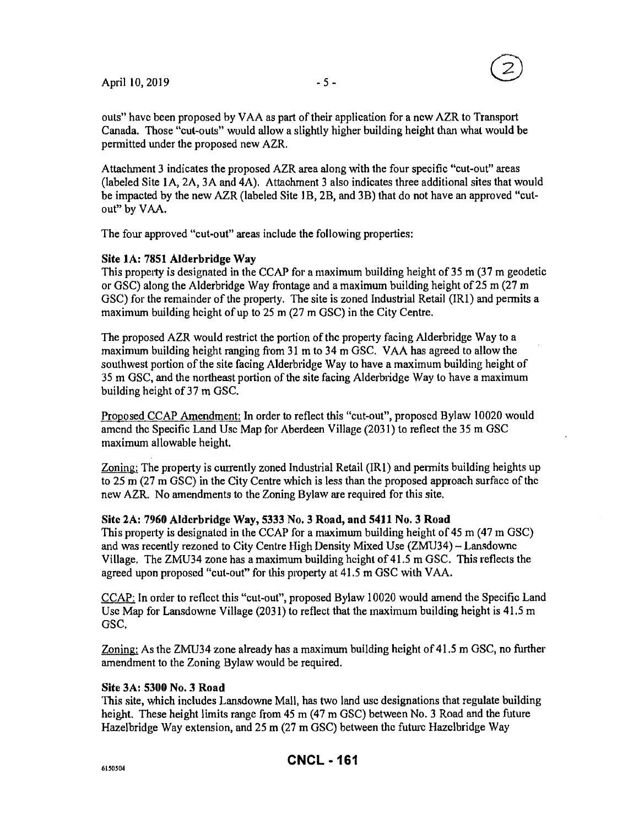

outs" have been proposed by V AA as part of their application for a new AZR to Transport Canada. Those "cut-outs" would allow a slightly higher building height than what would be permitted under the proposed new AZR.

Attachment 3 indicates the proposed AZR area along with the four specific "cut-out" areas (labeled Site 1A,  $2A$ ,  $3A$  and  $4A$ ). Attachment 3 also indicates three additional sites that would be impacted by the new AZR (labeled Site 1B, 2B, and 3B) that do not have an approved "cutout" by VAA.

The four approved "cut-out" areas include the following properties:

#### Site lA: 7851 Alderbridge Way

This property is designated in the CCAP for a maximum building height of 35m (37m geodetic or GSC) along the Alderbridge Way frontage and a maximum building height of  $25 \text{ m}$  (27 m) GSC) for the remainder of the property. The site is zoned Industrial Retail (IRl) and permits a maximum building height of up to 25 m (27 m GSC) in the City Centre.

The proposed AZR would restrict the portion of the property facing Alderbridge Way to a maximum building height ranging from 31 m to 34 m GSC. VAA has agreed to allow the southwest portion of the site facing Alderbridge Way to have a maximum building height of 35 m GSC, and the northeast portion of the site facing Alderbridge Way to have a maximum building height of 37 m GSC.

Proposed CCAP Amendment: In order to reflect this "cut-out", proposed Bylaw 10020 would amend the Specific Land Usc Map for Aberdeen Village (2031) to reflect the 35m GSC maximum allowable height.

Zoning: The property is currently zoned Industrial Retail (IRl) and permits building heights up to 25m (27m GSC) in the City Centre which is less than the proposed approach surface of the new AZR. No amendments to the Zoning Bylaw are required for this site.

#### Site 2A: 7960 Aldcrbridge Way, 5333 No.3 Road, and 5411 No.3 Road

This property is designated in the CCAP for a maximum building height of 45 m (47 m GSC) and was recently rezoned to City Centre High Density Mixed Use (ZMU34)- Lansdowne Village. The ZMU34 zone has a maximum building height of 41.5 m GSC. This reflects the agreed upon proposed "cut-out" for this property at 41.5 m GSC with VAA.

CCAP: In order to reflect this ''cut-out", proposed Bylaw 10020 would amend the Specific Land Usc Map for Lansdowne Village (2031) to reflect that the maximum building height is 41.5 m GSC.

Zoning: As the ZMU34 zone already has a maximum building height of 41.5 m GSC, no further amendment to the Zoning Bylaw would be required.

#### Site 3A: 5300 No. 3 Road

This site, which includes Lansdowne Mall, has two land usc designations that regulate building height. These height limits range from 45 m (47 m GSC) between No. 3 Road and the future Hazelbridge Way extension, and 25m (27m GSC) between the future Hazclbridge Way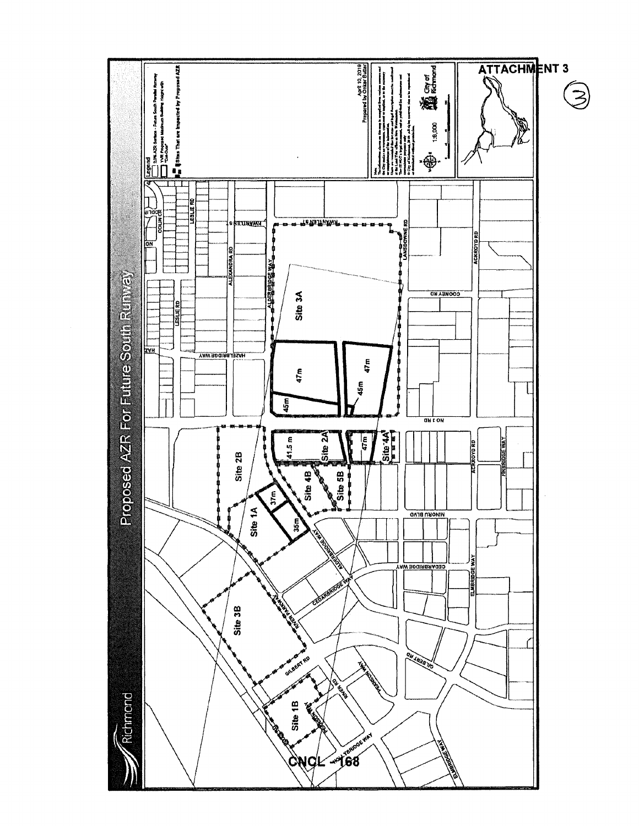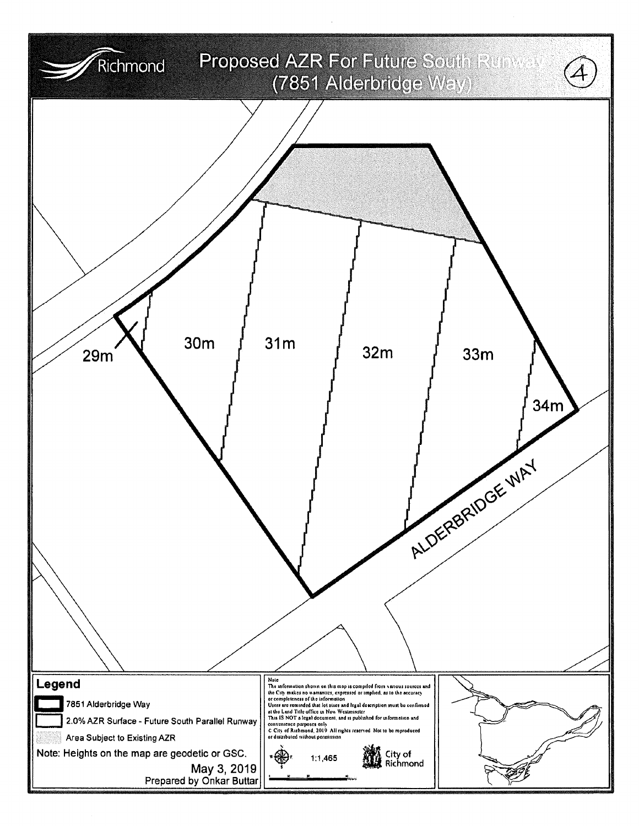